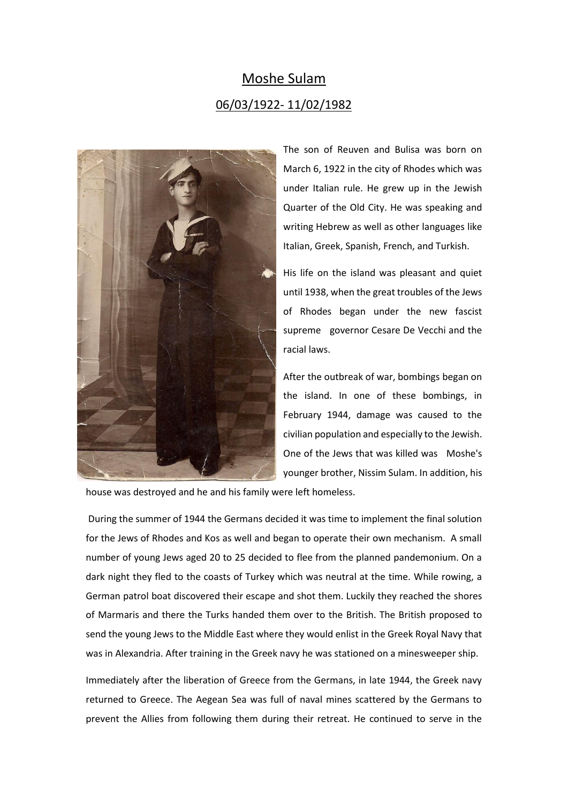## Moshe Sulam 06/03/1922- 11/02/1982



The son of Reuven and Bulisa was born on March 6, 1922 in the city of Rhodes which was under Italian rule. He grew up in the Jewish Quarter of the Old City. He was speaking and writing Hebrew as well as other languages like Italian, Greek, Spanish, French, and Turkish.

His life on the island was pleasant and quiet until 1938, when the great troubles of the Jews of Rhodes began under the new fascist supreme governor Cesare De Vecchi and the racial laws.

After the outbreak of war, bombings began on the island. In one of these bombings, in February 1944, damage was caused to the civilian population and especially to the Jewish. One of the Jews that was killed was Moshe's younger brother, Nissim Sulam. In addition, his

house was destroyed and he and his family were left homeless.

During the summer of 1944 the Germans decided it was time to implement the final solution for the Jews of Rhodes and Kos as well and began to operate their own mechanism. A small number of young Jews aged 20 to 25 decided to flee from the planned pandemonium. On a dark night they fled to the coasts of Turkey which was neutral at the time. While rowing, a German patrol boat discovered their escape and shot them. Luckily they reached the shores of Marmaris and there the Turks handed them over to the British. The British proposed to send the young Jews to the Middle East where they would enlist in the Greek Royal Navy that was in Alexandria. After training in the Greek navy he was stationed on a minesweeper ship.

Immediately after the liberation of Greece from the Germans, in late 1944, the Greek navy returned to Greece. The Aegean Sea was full of naval mines scattered by the Germans to prevent the Allies from following them during their retreat. He continued to serve in the